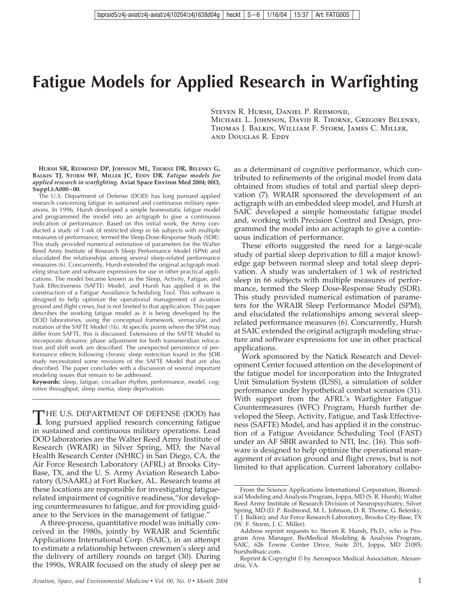# **Fatigue Models for Applied Research in Warfighting**

Steven R. Hursh, Daniel P. Redmond,

Michael L. Johnson, David R. Thorne, Gregory Belenky, Thomas J. Balkin, William F. Storm, James C. Miller, and Douglas R. Eddy

**HURSH SR, REDMOND DP, JOHNSON ML, THORNE DR, BELENKY G, BALKIN TJ, STORM WF, MILLER JC, EDDY DR.** *Fatigue models for applied research in warfighting.* **Aviat Space Environ Med 2004; 00(3, Suppl.):A000–00.**

The U.S. Department of Defense (DOD) has long pursued applied research concerning fatigue in sustained and continuous military operations. In 1996, Hursh developed a simple homeostatic fatigue model and programmed the model into an actigraph to give a continuous indication of performance. Based on this initial work, the Army conducted a study of 1-wk of restricted sleep in 66 subjects with multiple measures of performance, termed the Sleep Dose-Response Study (SDR). This study provided numerical estimation of parameters for the Walter Reed Army Institute of Research Sleep Performance Model (SPM) and elucidated the relationships among several sleep-related performance measures (6). Concurrently, Hursh extended the original actigraph modeling structure and software expressions for use in other practical applications. The model became known as the Sleep, Activity, Fatigue, and Task Effectiveness (SAFTE) Model, and Hursh has applied it in the construction of a Fatigue Avoidance Scheduling Tool. This software is designed to help optimize the operational management of aviation ground and flight crews, but is not limited to that application. This paper describes the working fatigue model as it is being developed by the DOD laboratories, using the conceptual framework, vernacular, and notation of the SAFTE Model (16). At specific points where the SPM may differ from SAFTE, this is discussed. Extensions of the SAFTE Model to incorporate dynamic phase adjustment for both transmeridian relocation and shift work are described. The unexpected persistence of performance effects following chronic sleep restriction found in the SDR study necessitated some revisions of the SAFTE Model that are also described. The paper concludes with a discussion of several important modeling issues that remain to be addressed.

**Keywords:** sleep, fatigue, circadian rhythm, performance, model, cognitive throughput, sleep inertia, sleep deprivation.

THE U.S. DEPARTMENT OF DEFENSE (DOD) has<br>long pursued applied research concerning fatigue in sustained and continuous military operations. Lead DOD laboratories are the Walter Reed Army Institute of Research (WRAIR) in Silver Spring, MD, the Naval Health Research Center (NHRC) in San Diego, CA, the Air Force Research Laboratory (AFRL) at Brooks City-Base, TX, and the U. S. Army Aviation Research Laboratory (USAARL) at Fort Rucker, AL. Research teams at these locations are responsible for investigating fatiguerelated impairment of cognitive readiness,"for developing countermeasures to fatigue, and for providing guidance to the Services in the management of fatigue."

A three-process, quantitative model was initially conceived in the 1980s, jointly by WRAIR and Scientific Applications International Corp. (SAIC), in an attempt to estimate a relationship between crewmen's sleep and the delivery of artillery rounds on target (30). During the 1990s, WRAIR focused on the study of sleep per se

as a determinant of cognitive performance, which contributed to refinements of the original model from data obtained from studies of total and partial sleep deprivation (7). WRAIR sponsored the development of an actigraph with an embedded sleep model, and Hursh at SAIC developed a simple homeostatic fatigue model and, working with Precision Control and Design, programmed the model into an actigraph to give a continuous indication of performance.

These efforts suggested the need for a large-scale study of partial sleep deprivation to fill a major knowledge gap between normal sleep and total sleep deprivation. A study was undertaken of 1 wk of restricted sleep in 66 subjects with multiple measures of performance, termed the Sleep Dose-Response Study (SDR). This study provided numerical estimation of parameters for the WRAIR Sleep Performance Model (SPM), and elucidated the relationships among several sleeprelated performance measures (6). Concurrently, Hursh at SAIC extended the original actigraph modeling structure and software expressions for use in other practical applications.

Work sponsored by the Natick Research and Development Center focused attention on the development of the fatigue model for incorporation into the Integrated Unit Simulation System (IUSS), a simulation of solder performance under hypothetical combat scenarios (31). With support from the AFRL's Warfighter Fatigue Countermeasures (WFC) Program, Hursh further developed the Sleep, Activity, Fatigue, and Task Effectiveness (SAFTE) Model, and has applied it in the construction of a Fatigue Avoidance Scheduling Tool (FAST) under an AF SBIR awarded to NTI, Inc. (16). This software is designed to help optimize the operational management of aviation ground and flight crews, but is not limited to that application. Current laboratory collabo-

From the Science Applications International Corporation, Biomedical Modeling and Analysis Program, Joppa, MD (S. R. Hursh); Walter Reed Army Institute of Research Division of Neuropsychiatry, Silver Spring, MD (D. P. Redmond, M. L. Johnson, D. R. Thorne, G. Belenky, T. J. Balkin); and Air Force Research Laboratory, Brooks City-Base, TX (W. F. Storm, J. C. Miller).

Address reprint requests to: Steven R. Hursh, Ph.D., who is Program Area Manager, BioMedical Modeling & Analysis Program, SAIC, 626 Towne Center Drive, Suite 201, Joppa, MD 21085; hurshs@saic.com.

Reprint & Copyright © by Aerospace Medical Association, Alexandria, VA.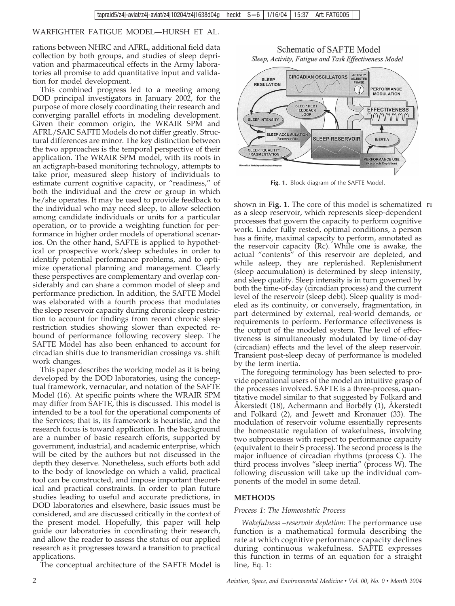rations between NHRC and AFRL, additional field data collection by both groups, and studies of sleep deprivation and pharmaceutical effects in the Army laboratories all promise to add quantitative input and validation for model development.

This combined progress led to a meeting among DOD principal investigators in January 2002, for the purpose of more closely coordinating their research and converging parallel efforts in modeling development. Given their common origin, the WRAIR SPM and AFRL/SAIC SAFTE Models do not differ greatly. Structural differences are minor. The key distinction between the two approaches is the temporal perspective of their application. The WRAIR SPM model, with its roots in an actigraph-based monitoring technology, attempts to take prior, measured sleep history of individuals to estimate current cognitive capacity, or "readiness," of both the individual and the crew or group in which he/she operates. It may be used to provide feedback to the individual who may need sleep, to allow selection among candidate individuals or units for a particular operation, or to provide a weighting function for performance in higher order models of operational scenarios. On the other hand, SAFTE is applied to hypothetical or prospective work/sleep schedules in order to identify potential performance problems, and to optimize operational planning and management. Clearly these perspectives are complementary and overlap considerably and can share a common model of sleep and performance prediction. In addition, the SAFTE Model was elaborated with a fourth process that modulates the sleep reservoir capacity during chronic sleep restriction to account for findings from recent chronic sleep restriction studies showing slower than expected rebound of performance following recovery sleep. The SAFTE Model has also been enhanced to account for circadian shifts due to transmeridian crossings vs. shift work changes.

This paper describes the working model as it is being developed by the DOD laboratories, using the conceptual framework, vernacular, and notation of the SAFTE Model (16). At specific points where the WRAIR SPM may differ from SAFTE, this is discussed. This model is intended to be a tool for the operational components of the Services; that is, its framework is heuristic, and the research focus is toward application. In the background are a number of basic research efforts, supported by government, industrial, and academic enterprise, which will be cited by the authors but not discussed in the depth they deserve. Nonetheless, such efforts both add to the body of knowledge on which a valid, practical tool can be constructed, and impose important theoretical and practical constraints. In order to plan future studies leading to useful and accurate predictions, in DOD laboratories and elsewhere, basic issues must be considered, and are discussed critically in the context of the present model. Hopefully, this paper will help guide our laboratories in coordinating their research, and allow the reader to assess the status of our applied research as it progresses toward a transition to practical applications.

The conceptual architecture of the SAFTE Model is

Schematic of SAFTE Model Sleep, Activity, Fatigue and Task Effectiveness Model



**Fig. 1.** Block diagram of the SAFTE Model.

shown in **Fig. 1**. The core of this model is schematized **F1** as a sleep reservoir, which represents sleep-dependent processes that govern the capacity to perform cognitive work. Under fully rested, optimal conditions, a person has a finite, maximal capacity to perform, annotated as the reservoir capacity  $(Rc)$ . While one is awake, the actual "contents" of this reservoir are depleted, and while asleep, they are replenished. Replenishment (sleep accumulation) is determined by sleep intensity, and sleep quality. Sleep intensity is in turn governed by both the time-of-day (circadian process) and the current level of the reservoir (sleep debt). Sleep quality is modeled as its continuity, or conversely, fragmentation, in part determined by external, real-world demands, or requirements to perform. Performance effectiveness is the output of the modeled system. The level of effectiveness is simultaneously modulated by time-of-day (circadian) effects and the level of the sleep reservoir. Transient post-sleep decay of performance is modeled by the term inertia.

The foregoing terminology has been selected to provide operational users of the model an intuitive grasp of the processes involved. SAFTE is a three-process, quantitative model similar to that suggested by Folkard and Åkerstedt (18), Achermann and Borbély (1), Åkerstedt and Folkard (2), and Jewett and Kronauer (33). The modulation of reservoir volume essentially represents the homeostatic regulation of wakefulness, involving two subprocesses with respect to performance capacity (equivalent to their S process). The second process is the major influence of circadian rhythms (process C). The third process involves "sleep inertia" (process W). The following discussion will take up the individual components of the model in some detail.

## **METHODS**

## *Process 1: The Homeostatic Process*

*Wakefulness –reservoir depletion:* The performance use function is a mathematical formula describing the rate at which cognitive performance capacity declines during continuous wakefulness. SAFTE expresses this function in terms of an equation for a straight line, Eq. 1: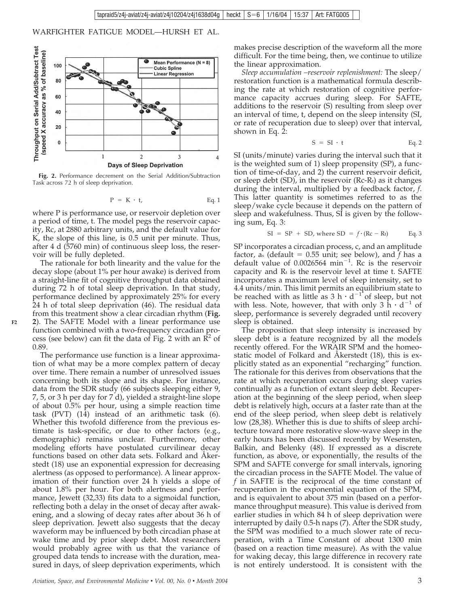

**Fig. 2.** Performance decrement on the Serial Addition/Subtraction Task across 72 h of sleep deprivation.

$$
P = K \cdot t, \qquad Eq. 1
$$

where P is performance use, or reservoir depletion over a period of time, t. The model pegs the reservoir capacity, Rc, at 2880 arbitrary units, and the default value for K, the slope of this line, is 0.5 unit per minute. Thus, after 4 d (5760 min) of continuous sleep loss, the reservoir will be fully depleted.

The rationale for both linearity and the value for the decay slope (about 1% per hour awake) is derived from a straight-line fit of cognitive throughput data obtained during 72 h of total sleep deprivation. In that study, performance declined by approximately 25% for every 24 h of total sleep deprivation (46). The residual data from this treatment show a clear circadian rhythm (**Fig. 2**). The SAFTE Model with a linear performance use function combined with a two-frequency circadian process (see below) can fit the data of Fig. 2 with an  $\mathbb{R}^2$  of 0.89.

**F2**

The performance use function is a linear approximation of what may be a more complex pattern of decay over time. There remain a number of unresolved issues concerning both its slope and its shape. For instance, data from the SDR study (66 subjects sleeping either 9, 7, 5, or 3 h per day for 7 d), yielded a straight-line slope of about 0.5% per hour, using a simple reaction time task (PVT) (14) instead of an arithmetic task (6). Whether this twofold difference from the previous estimate is task-specific, or due to other factors (e.g., demographic) remains unclear. Furthermore, other modeling efforts have postulated curvilinear decay functions based on other data sets. Folkard and Åkerstedt (18) use an exponential expression for decreasing alertness (as opposed to performance). A linear approximation of their function over 24 h yields a slope of about 1.8% per hour. For both alertness and performance, Jewett (32,33) fits data to a sigmoidal function, reflecting both a delay in the onset of decay after awakening, and a slowing of decay rates after about 36 h of sleep deprivation. Jewett also suggests that the decay waveform may be influenced by both circadian phase at wake time and by prior sleep debt. Most researchers would probably agree with us that the variance of grouped data tends to increase with the duration, measured in days, of sleep deprivation experiments, which

makes precise description of the waveform all the more difficult. For the time being, then, we continue to utilize the linear approximation.

*Sleep accumulation –reservoir replenishment:* The sleep/ restoration function is a mathematical formula describing the rate at which restoration of cognitive performance capacity accrues during sleep. For SAFTE, additions to the reservoir (S) resulting from sleep over an interval of time, t, depend on the sleep intensity (SI, or rate of recuperation due to sleep) over that interval, shown in Eq. 2:

$$
S = SI \cdot t \qquad \qquad Eq. 2
$$

SI (units/minute) varies during the interval such that it is the weighted sum of 1) sleep propensity (SP), a function of time-of-day, and 2) the current reservoir deficit, or sleep debt  $(SD)$ , in the reservoir  $(Rc-R<sub>t</sub>)$  as it changes during the interval, multiplied by a feedback factor, *f*. This latter quantity is sometimes referred to as the sleep/wake cycle because it depends on the pattern of sleep and wakefulness. Thus, SI is given by the following sum, Eq. 3:

SI = SP + SD, where SD = 
$$
f \cdot (Rc - Rt)
$$
 Eq. 3

SP incorporates a circadian process, c, and an amplitude factor, as (default  $= 0.55$  unit; see below), and  $\bar{f}$  has a default value of 0.0026564 min-1 . Rc is the reservoir capacity and  $R_t$  is the reservoir level at time t. SAFTE incorporates a maximum level of sleep intensity, set to 4.4 units/min. This limit permits an equilibrium state to be reached with as little as  $3 h \cdot d^{-1}$  of sleep, but not with less. Note, however, that with only  $3 h \cdot d^{-1}$  of sleep, performance is severely degraded until recovery sleep is obtained.

The proposition that sleep intensity is increased by sleep debt is a feature recognized by all the models recently offered. For the WRAIR SPM and the homeostatic model of Folkard and Åkerstedt (18), this is explicitly stated as an exponential "recharging" function. The rationale for this derives from observations that the rate at which recuperation occurs during sleep varies continually as a function of extant sleep debt. Recuperation at the beginning of the sleep period, when sleep debt is relatively high, occurs at a faster rate than at the end of the sleep period, when sleep debt is relatively low (28,38). Whether this is due to shifts of sleep architecture toward more restorative slow-wave sleep in the early hours has been discussed recently by Wesensten, Balkin, and Belenky (48). If expressed as a discrete function, as above, or exponentially, the results of the SPM and SAFTE converge for small intervals, ignoring the circadian process in the SAFTE Model. The value of *f* in SAFTE is the reciprocal of the time constant of recuperation in the exponential equation of the SPM, and is equivalent to about 375 min (based on a performance throughput measure). This value is derived from earlier studies in which 84 h of sleep deprivation were interrupted by daily 0.5-h naps (7). After the SDR study, the SPM was modified to a much slower rate of recuperation, with a Time Constant of about 1300 min (based on a reaction time measure). As with the value for waking decay, this large difference in recovery rate is not entirely understood. It is consistent with the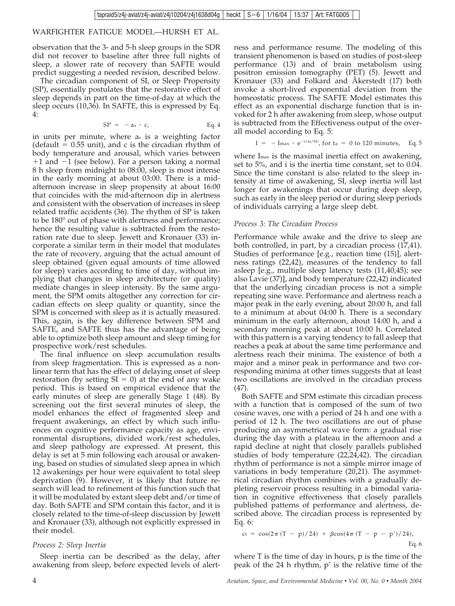observation that the 3- and 5-h sleep groups in the SDR did not recover to baseline after three full nights of sleep, a slower rate of recovery than SAFTE would predict suggesting a needed revision, described below.

The circadian component of SI, or Sleep Propensity (SP), essentially postulates that the restorative effect of sleep depends in part on the time-of-day at which the sleep occurs (10,36). In SAFTE, this is expressed by Eq. 4:

$$
SP = -as \cdot c, \qquad Eq. 4
$$

in units per minute, where as is a weighting factor (default  $= 0.55$  unit), and c is the circadian rhythm of body temperature and arousal, which varies between  $+1$  and  $-1$  (see below). For a person taking a normal 8 h sleep from midnight to 08:00, sleep is most intense in the early morning at about 03:00. There is a midafternoon increase in sleep propensity at about 16:00 that coincides with the mid-afternoon dip in alertness and consistent with the observation of increases in sleep related traffic accidents (36). The rhythm of SP is taken to be 180° out of phase with alertness and performance; hence the resulting value is subtracted from the restoration rate due to sleep. Jewett and Kronauer (33) incorporate a similar term in their model that modulates the rate of recovery, arguing that the actual amount of sleep obtained (given equal amounts of time allowed for sleep) varies according to time of day, without implying that changes in sleep architecture (or quality) mediate changes in sleep intensity. By the same argument, the SPM omits altogether any correction for circadian effects on sleep quality or quantity, since the SPM is concerned with sleep as it is actually measured. This, again, is the key difference between SPM and SAFTE, and SAFTE thus has the advantage of being able to optimize both sleep amount and sleep timing for prospective work/rest schedules.

The final influence on sleep accumulation results from sleep fragmentation. This is expressed as a nonlinear term that has the effect of delaying onset of sleep restoration (by setting  $SI = 0$ ) at the end of any wake period. This is based on empirical evidence that the early minutes of sleep are generally Stage 1 (48). By screening out the first several minutes of sleep, the model enhances the effect of fragmented sleep and frequent awakenings, an effect by which such influences on cognitive performance capacity as age, environmental disruptions, divided work/rest schedules, and sleep pathology are expressed. At present, this delay is set at 5 min following each arousal or awakening, based on studies of simulated sleep apnea in which 12 awakenings per hour were equivalent to total sleep deprivation  $(9)$ . However, it is likely that future research will lead to refinement of this function such that it will be modulated by extant sleep debt and/or time of day. Both SAFTE and SPM contain this factor, and it is closely related to the time-of-sleep discussion by Jewett and Kronauer (33), although not explicitly expressed in their model.

## *Process 2: Sleep Inertia*

Sleep inertia can be described as the delay, after awakening from sleep, before expected levels of alertness and performance resume. The modeling of this transient phenomenon is based on studies of post-sleep performance (13) and of brain metabolism using positron emission tomography (PET) (5). Jewett and Kronauer (33) and Folkard and Åkerstedt (17) both invoke a short-lived exponential deviation from the homeostatic process. The SAFTE Model estimates this effect as an exponential discharge function that is invoked for 2 h after awakening from sleep, whose output is subtracted from the Effectiveness output of the overall model according to Eq. 5:

$$
I = -\text{Imax} \cdot e^{-(i \cdot ta/SI)}
$$
, for  $ta = 0$  to 120 minutes, Eq. 5

where I<sub>max</sub> is the maximal inertia effect on awakening, set to 5%, and i is the inertia time constant, set to 0.04. Since the time constant is also related to the sleep intensity at time of awakening, SI, sleep inertia will last longer for awakenings that occur during deep sleep, such as early in the sleep period or during sleep periods of individuals carrying a large sleep debt.

#### *Process 3: The Circadian Process*

Performance while awake and the drive to sleep are both controlled, in part, by a circadian process (17,41). Studies of performance [e.g., reaction time (15)], alertness ratings (22,42), measures of the tendency to fall asleep [e.g., multiple sleep latency tests (11,40,45); see also Lavie (37)], and body temperature (22,42) indicated that the underlying circadian process is not a simple repeating sine wave. Performance and alertness reach a major peak in the early evening, about 20:00 h, and fall to a minimum at about 04:00 h. There is a secondary minimum in the early afternoon, about 14:00 h, and a secondary morning peak at about 10:00 h. Correlated with this pattern is a varying tendency to fall asleep that reaches a peak at about the same time performance and alertness reach their minima. The existence of both a major and a minor peak in performance and two corresponding minima at other times suggests that at least two oscillations are involved in the circadian process (47).

Both SAFTE and SPM estimate this circadian process with a function that is composed of the sum of two cosine waves, one with a period of 24 h and one with a period of 12 h. The two oscillations are out of phase producing an asymmetrical wave form: a gradual rise during the day with a plateau in the afternoon and a rapid decline at night that closely parallels published studies of body temperature (22,24,42). The circadian rhythm of performance is not a simple mirror image of variations in body temperature (20,21). The asymmetrical circadian rhythm combines with a gradually depleting reservoir process resulting in a bimodal variation in cognitive effectiveness that closely parallels published patterns of performance and alertness, described above. The circadian process is represented by Eq. 6:

$$
ct = \cos(2\pi (T - p)/24) + \beta \cos(4\pi (T - p - p')/24),
$$
Eq. 6

where T is the time of day in hours, p is the time of the peak of the 24 h rhythm, p' is the relative time of the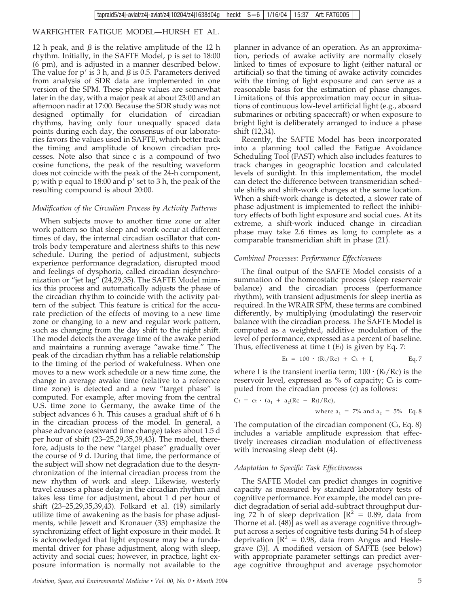12 h peak, and  $\beta$  is the relative amplitude of the 12 h rhythm. Initially, in the SAFTE Model, p is set to 18:00 (6 pm), and is adjusted in a manner described below. The value for  $p'$  is 3 h, and  $\beta$  is 0.5. Parameters derived from analysis of SDR data are implemented in one version of the SPM. These phase values are somewhat later in the day, with a major peak at about 23:00 and an afternoon nadir at 17:00. Because the SDR study was not designed optimally for elucidation of circadian rhythms, having only four unequally spaced data points during each day, the consensus of our laboratories favors the values used in SAFTE, which better track the timing and amplitude of known circadian processes. Note also that since c is a compound of two cosine functions, the peak of the resulting waveform does not coincide with the peak of the 24-h component, p; with p equal to 18:00 and  $p'$  set to 3 h, the peak of the resulting compound is about 20:00.

## *Modification of the Circadian Process by Activity Patterns*

When subjects move to another time zone or alter work pattern so that sleep and work occur at different times of day, the internal circadian oscillator that controls body temperature and alertness shifts to this new schedule. During the period of adjustment, subjects experience performance degradation, disrupted mood and feelings of dysphoria, called circadian desynchronization or "jet lag" (24,29,35). The SAFTE Model mimics this process and automatically adjusts the phase of the circadian rhythm to coincide with the activity pattern of the subject. This feature is critical for the accurate prediction of the effects of moving to a new time zone or changing to a new and regular work pattern, such as changing from the day shift to the night shift. The model detects the average time of the awake period and maintains a running average "awake time." The peak of the circadian rhythm has a reliable relationship to the timing of the period of wakefulness. When one moves to a new work schedule or a new time zone, the change in average awake time (relative to a reference time zone) is detected and a new "target phase" is computed. For example, after moving from the central U.S. time zone to Germany, the awake time of the subject advances 6 h. This causes a gradual shift of 6 h in the circadian process of the model. In general, a phase advance (eastward time change) takes about 1.5 d per hour of shift (23–25,29,35,39,43). The model, therefore, adjusts to the new "target phase" gradually over the course of 9 d. During that time, the performance of the subject will show net degradation due to the desynchronization of the internal circadian process from the new rhythm of work and sleep. Likewise, westerly travel causes a phase delay in the circadian rhythm and takes less time for adjustment, about 1 d per hour of shift (23–25,29,35,39,43). Folkard et al. (19) similarly utilize time of awakening as the basis for phase adjustments, while Jewett and Kronauer (33) emphasize the synchronizing effect of light exposure in their model. It is acknowledged that light exposure may be a fundamental driver for phase adjustment, along with sleep, activity and social cues; however, in practice, light exposure information is normally not available to the planner in advance of an operation. As an approximation, periods of awake activity are normally closely linked to times of exposure to light (either natural or artificial) so that the timing of awake activity coincides with the timing of light exposure and can serve as a reasonable basis for the estimation of phase changes. Limitations of this approximation may occur in situations of continuous low-level artificial light (e.g., aboard submarines or orbiting spacecraft) or when exposure to bright light is deliberately arranged to induce a phase shift (12,34).

Recently, the SAFTE Model has been incorporated into a planning tool called the Fatigue Avoidance Scheduling Tool (FAST) which also includes features to track changes in geographic location and calculated levels of sunlight. In this implementation, the model can detect the difference between transmeridian schedule shifts and shift-work changes at the same location. When a shift-work change is detected, a slower rate of phase adjustment is implemented to reflect the inhibitory effects of both light exposure and social cues. At its extreme, a shift-work induced change in circadian phase may take 2.6 times as long to complete as a comparable transmeridian shift in phase (21).

## *Combined Processes: Performance Effectiveness*

The final output of the SAFTE Model consists of a summation of the homeostatic process (sleep reservoir balance) and the circadian process (performance rhythm), with transient adjustments for sleep inertia as required. In the WRAIR SPM, these terms are combined differently, by multiplying (modulating) the reservoir balance with the circadian process. The SAFTE Model is computed as a weighted, additive modulation of the level of performance, expressed as a percent of baseline. Thus, effectiveness at time  $t(E_t)$  is given by Eq. 7:

$$
Et = 100 \cdot (R_t/Rc) + Ct + I, \qquad Eq. 7
$$

where I is the transient inertia term;  $100 \cdot (\mathrm{R}_{\mathrm{t}}/\mathrm{R}_{\mathrm{C}})$  is the reservoir level, expressed as % of capacity; Ct is computed from the circadian process (c) as follows:

$$
C_t = ct \cdot (a_1 + a_2(Rc - R_t)/Rc)
$$
,  
where  $a_1 = 7\%$  and  $a_2 = 5\%$  Eq. 8

The computation of the circadian component  $(C_t, Eq. 8)$ includes a variable amplitude expression that effectively increases circadian modulation of effectiveness with increasing sleep debt (4).

#### *Adaptation to Specific Task Effectiveness*

The SAFTE Model can predict changes in cognitive capacity as measured by standard laboratory tests of cognitive performance. For example, the model can predict degradation of serial add-subtract throughput during 72 h of sleep deprivation  $[R^2 = 0.89]$ , data from Thorne et al. (48)] as well as average cognitive throughput across a series of cognitive tests during 54 h of sleep deprivation  $[R^2 = 0.98]$ , data from Angus and Heslegrave (3)]. A modified version of SAFTE (see below) with appropriate parameter settings can predict average cognitive throughput and average psychomotor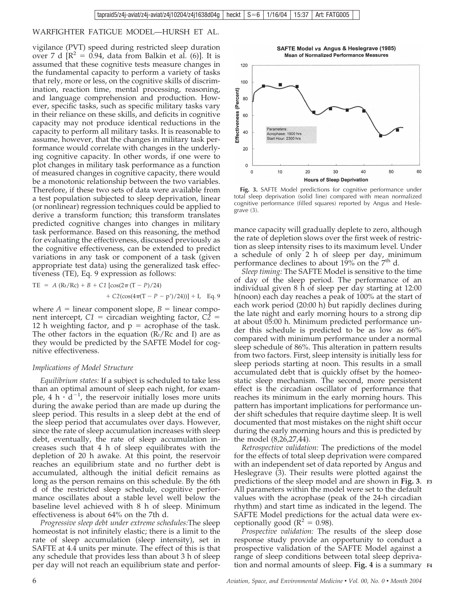vigilance (PVT) speed during restricted sleep duration over 7 d  $[R^2 = 0.94$ , data from Balkin et al. (6)]. It is assumed that these cognitive tests measure changes in the fundamental capacity to perform a variety of tasks that rely, more or less, on the cognitive skills of discrimination, reaction time, mental processing, reasoning, and language comprehension and production. However, specific tasks, such as specific military tasks vary in their reliance on these skills, and deficits in cognitive capacity may not produce identical reductions in the capacity to perform all military tasks. It is reasonable to assume, however, that the changes in military task performance would correlate with changes in the underlying cognitive capacity. In other words, if one were to plot changes in military task performance as a function of measured changes in cognitive capacity, there would be a monotonic relationship between the two variables. Therefore, if these two sets of data were available from a test population subjected to sleep deprivation, linear (or nonlinear) regression techniques could be applied to derive a transform function; this transform translates predicted cognitive changes into changes in military task performance. Based on this reasoning, the method for evaluating the effectiveness, discussed previously as the cognitive effectiveness, can be extended to predict variations in any task or component of a task (given appropriate test data) using the generalized task effectiveness (TE), Eq. 9 expression as follows:

$$
TE = A (Rt/RC) + B + C1 [cos(2\pi (T - P)/24)+ C2(cos(4\pi (T - P - p')/24))] + I, Eq. 9
$$

where  $A =$  linear component slope,  $B =$  linear component intercept,  $C1$  = circadian weighting factor,  $C2$  = 12 h weighting factor, and  $p =$  acrophase of the task. The other factors in the equation  $(R_t/Rc$  and I) are as they would be predicted by the SAFTE Model for cognitive effectiveness.

#### *Implications of Model Structure*

*Equilibrium states:* If a subject is scheduled to take less than an optimal amount of sleep each night, for example, 4 h  $\cdot d^{-1}$ , the reservoir initially loses more units during the awake period than are made up during the sleep period. This results in a sleep debt at the end of the sleep period that accumulates over days. However, since the rate of sleep accumulation increases with sleep debt, eventually, the rate of sleep accumulation increases such that 4 h of sleep equilibrates with the depletion of 20 h awake. At this point, the reservoir reaches an equilibrium state and no further debt is accumulated, although the initial deficit remains as long as the person remains on this schedule. By the 6th d of the restricted sleep schedule, cognitive performance oscillates about a stable level well below the baseline level achieved with 8 h of sleep. Minimum effectiveness is about 64% on the 7th d.

*Progressive sleep debt under extreme schedules:*The sleep homeostat is not infinitely elastic; there is a limit to the rate of sleep accumulation (sleep intensity), set in SAFTE at 4.4 units per minute. The effect of this is that any schedule that provides less than about 3 h of sleep per day will not reach an equilibrium state and perfor-

SAFTE Model vs Angus & Heslegrave (1985) Mean of Normalized Performance Measures



**Fig. 3.** SAFTE Model predictions for cognitive performance under total sleep deprivation (solid line) compared with mean normalized cognitive performance (filled squares) reported by Angus and Heslegrave (3).

mance capacity will gradually deplete to zero, although the rate of depletion slows over the first week of restriction as sleep intensity rises to its maximum level. Under a schedule of only 2 h of sleep per day, minimum performance declines to about  $19\%$  on the  $7<sup>th</sup>$  d.

*Sleep timing:* The SAFTE Model is sensitive to the time of day of the sleep period. The performance of an individual given 8 h of sleep per day starting at 12:00 h(noon) each day reaches a peak of 100% at the start of each work period (20:00 h) but rapidly declines during the late night and early morning hours to a strong dip at about 05:00 h. Minimum predicted performance under this schedule is predicted to be as low as 66% compared with minimum performance under a normal sleep schedule of 86%. This alteration in pattern results from two factors. First, sleep intensity is initially less for sleep periods starting at noon. This results in a small accumulated debt that is quickly offset by the homeostatic sleep mechanism. The second, more persistent effect is the circadian oscillator of performance that reaches its minimum in the early morning hours. This pattern has important implications for performance under shift schedules that require daytime sleep. It is well documented that most mistakes on the night shift occur during the early morning hours and this is predicted by the model (8,26,27,44).

*Retrospective validation:* The predictions of the model for the effects of total sleep deprivation were compared with an independent set of data reported by Angus and Heslegrave (3). Their results were plotted against the predictions of the sleep model and are shown in **Fig. 3**. **F3** All parameters within the model were set to the default values with the acrophase (peak of the 24-h circadian rhythm) and start time as indicated in the legend. The SAFTE Model predictions for the actual data were exceptionally good ( $\mathbb{R}^2 = 0.98$ ).

*Prospective validation:* The results of the sleep dose response study provide an opportunity to conduct a prospective validation of the SAFTE Model against a range of sleep conditions between total sleep deprivation and normal amounts of sleep. **Fig. 4** is a summary **F4**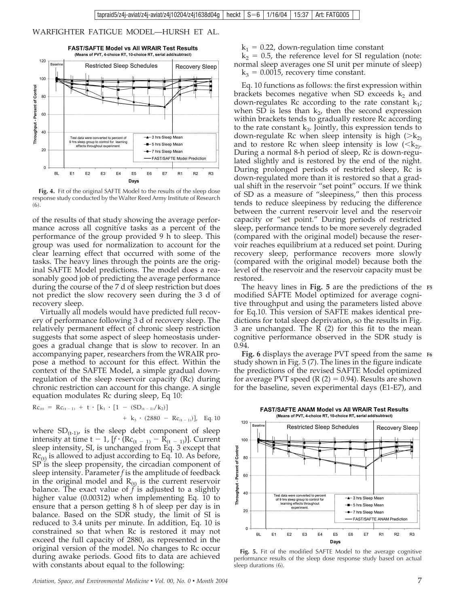

**Fig. 4.** Fit of the original SAFTE Model to the results of the sleep dose response study conducted by the Walter Reed Army Institute of Research (6).

of the results of that study showing the average performance across all cognitive tasks as a percent of the performance of the group provided 9 h to sleep. This group was used for normalization to account for the clear learning effect that occurred with some of the tasks. The heavy lines through the points are the original SAFTE Model predictions. The model does a reasonably good job of predicting the average performance during the course of the 7 d of sleep restriction but does not predict the slow recovery seen during the 3 d of recovery sleep.

Virtually all models would have predicted full recovery of performance following 3 d of recovery sleep. The relatively permanent effect of chronic sleep restriction suggests that some aspect of sleep homeostasis undergoes a gradual change that is slow to recover. In an accompanying paper, researchers from the WRAIR propose a method to account for this effect. Within the context of the SAFTE Model, a simple gradual downregulation of the sleep reservoir capacity (Rc) during chronic restriction can account for this change. A single equation modulates Rc during sleep, Eq 10:

$$
Rc_{(t)} = Rc_{(t-1)} + t \cdot [k_1 \cdot [1 - (SD_{(t-1)}/k_2)] + k_3 \cdot (2880 - Rc_{(t-1)})], Eq. 10
$$

where  $SD_{(t-1)}$ , is the sleep debt component of sleep intensity at time t – 1,  $[f \cdot (\text{Rc}_{(t - 1)} - \text{R}_{(t - 1)})]$ . Current sleep intensity, SI, is unchanged from Eq. 3 except that  $Rc_{(t)}$  is allowed to adjust according to Eq. 10. As before, SP is the sleep propensity, the circadian component of sleep intensity. Parameter *f* is the amplitude of feedback in the original model and  $R_{(t)}$  is the current reservoir balance. The exact value of  $f$  is adjusted to a slightly higher value (0.00312) when implementing Eq. 10 to ensure that a person getting 8 h of sleep per day is in balance. Based on the SDR study, the limit of SI is reduced to 3.4 units per minute. In addition, Eq. 10 is constrained so that when Rc is restored it may not exceed the full capacity of 2880, as represented in the original version of the model. No changes to Rc occur during awake periods. Good fits to data are achieved with constants about equal to the following:

 $k_1$  = 0.22, down-regulation time constant

 $k_2$  = 0.5, the reference level for SI regulation (note: normal sleep averages one SI unit per minute of sleep)  $k_3 = 0.0015$ , recovery time constant.

Eq. 10 functions as follows: the first expression within brackets becomes negative when SD exceeds  $k_2$  and down-regulates Rc according to the rate constant  $k_1$ ; when SD is less than  $k_2$ , then the second expression within brackets tends to gradually restore Rc according to the rate constant  $k_3$ . Jointly, this expression tends to down-regulate Rc when sleep intensity is high  $(>\mathbf{k}_2)$ and to restore Rc when sleep intensity is low  $(<\!\!k_2\!\!).$ During a normal 8-h period of sleep, Rc is down-regulated slightly and is restored by the end of the night. During prolonged periods of restricted sleep, Rc is down-regulated more than it is restored so that a gradual shift in the reservoir "set point" occurs. If we think of SD as a measure of "sleepiness," then this process tends to reduce sleepiness by reducing the difference between the current reservoir level and the reservoir capacity or "set point." During periods of restricted sleep, performance tends to be more severely degraded (compared with the original model) because the reservoir reaches equilibrium at a reduced set point. During recovery sleep, performance recovers more slowly (compared with the original model) because both the level of the reservoir and the reservoir capacity must be restored.

The heavy lines in **Fig. 5** are the predictions of the **F5** modified SAFTE Model optimized for average cognitive throughput and using the parameters listed above for Eq.10. This version of SAFTE makes identical predictions for total sleep deprivation, so the results in Fig. 3 are unchanged. The R (2) for this fit to the mean cognitive performance observed in the SDR study is 0.94.

**Fig. 6** displays the average PVT speed from the same **F6** study shown in Fig. 5 (7). The lines in the figure indicate the predictions of the revised SAFTE Model optimized for average PVT speed  $(R (2) = 0.94)$ . Results are shown for the baseline, seven experimental days (E1-E7), and

FAST/SAFTE ANAM Model vs All WRAIR Test Results (Means of PVT, 4-choice RT, 10-choice RT, serial add/subtract)



**Fig. 5.** Fit of the modified SAFTE Model to the average cognitive performance results of the sleep dose response study based on actual sleep durations (6).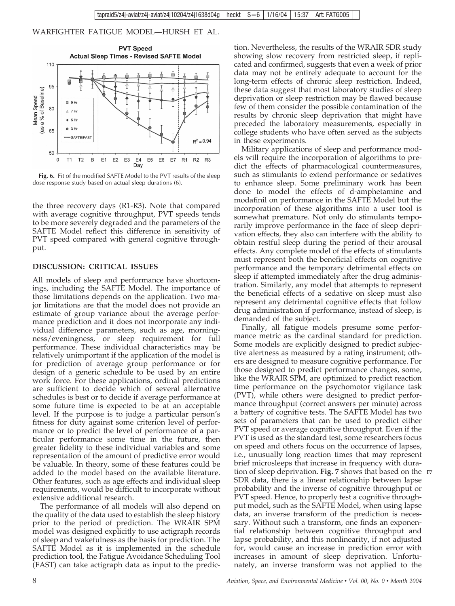

**Fig. 6.** Fit of the modified SAFTE Model to the PVT results of the sleep dose response study based on actual sleep durations (6).

the three recovery days (R1-R3). Note that compared with average cognitive throughput, PVT speeds tends to be more severely degraded and the parameters of the SAFTE Model reflect this difference in sensitivity of PVT speed compared with general cognitive throughput.

#### **DISCUSSION: CRITICAL ISSUES**

All models of sleep and performance have shortcomings, including the SAFTE Model. The importance of those limitations depends on the application. Two major limitations are that the model does not provide an estimate of group variance about the average performance prediction and it does not incorporate any individual difference parameters, such as age, morningness/eveningness, or sleep requirement for full performance. These individual characteristics may be relatively unimportant if the application of the model is for prediction of average group performance or for design of a generic schedule to be used by an entire work force. For these applications, ordinal predictions are sufficient to decide which of several alternative schedules is best or to decide if average performance at some future time is expected to be at an acceptable level. If the purpose is to judge a particular person's fitness for duty against some criterion level of performance or to predict the level of performance of a particular performance some time in the future, then greater fidelity to these individual variables and some representation of the amount of predictive error would be valuable. In theory, some of these features could be added to the model based on the available literature. Other features, such as age effects and individual sleep requirements, would be difficult to incorporate without extensive additional research.

The performance of all models will also depend on the quality of the data used to establish the sleep history prior to the period of prediction. The WRAIR SPM model was designed explicitly to use actigraph records of sleep and wakefulness as the basis for prediction. The SAFTE Model as it is implemented in the schedule prediction tool, the Fatigue Avoidance Scheduling Tool (FAST) can take actigraph data as input to the prediction. Nevertheless, the results of the WRAIR SDR study showing slow recovery from restricted sleep, if replicated and confirmed, suggests that even a week of prior data may not be entirely adequate to account for the long-term effects of chronic sleep restriction. Indeed, these data suggest that most laboratory studies of sleep deprivation or sleep restriction may be flawed because few of them consider the possible contamination of the results by chronic sleep deprivation that might have preceded the laboratory measurements, especially in college students who have often served as the subjects in these experiments.

Military applications of sleep and performance models will require the incorporation of algorithms to predict the effects of pharmacological countermeasures, such as stimulants to extend performance or sedatives to enhance sleep. Some preliminary work has been done to model the effects of d-amphetamine and modafinil on performance in the SAFTE Model but the incorporation of these algorithms into a user tool is somewhat premature. Not only do stimulants temporarily improve performance in the face of sleep deprivation effects, they also can interfere with the ability to obtain restful sleep during the period of their arousal effects. Any complete model of the effects of stimulants must represent both the beneficial effects on cognitive performance and the temporary detrimental effects on sleep if attempted immediately after the drug administration. Similarly, any model that attempts to represent the beneficial effects of a sedative on sleep must also represent any detrimental cognitive effects that follow drug administration if performance, instead of sleep, is demanded of the subject.

Finally, all fatigue models presume some performance metric as the cardinal standard for prediction. Some models are explicitly designed to predict subjective alertness as measured by a rating instrument; others are designed to measure cognitive performance. For those designed to predict performance changes, some, like the WRAIR SPM, are optimized to predict reaction time performance on the psychomotor vigilance task (PVT), while others were designed to predict performance throughput (correct answers per minute) across a battery of cognitive tests. The SAFTE Model has two sets of parameters that can be used to predict either PVT speed or average cognitive throughput. Even if the PVT is used as the standard test, some researchers focus on speed and others focus on the occurrence of lapses, i.e., unusually long reaction times that may represent brief microsleeps that increase in frequency with duration of sleep deprivation. **Fig. 7** shows that based on the **F7** SDR data, there is a linear relationship between lapse probability and the inverse of cognitive throughput or PVT speed. Hence, to properly test a cognitive throughput model, such as the SAFTE Model, when using lapse data, an inverse transform of the prediction is necessary. Without such a transform, one finds an exponential relationship between cognitive throughput and lapse probability, and this nonlinearity, if not adjusted for, would cause an increase in prediction error with increases in amount of sleep deprivation. Unfortunately, an inverse transform was not applied to the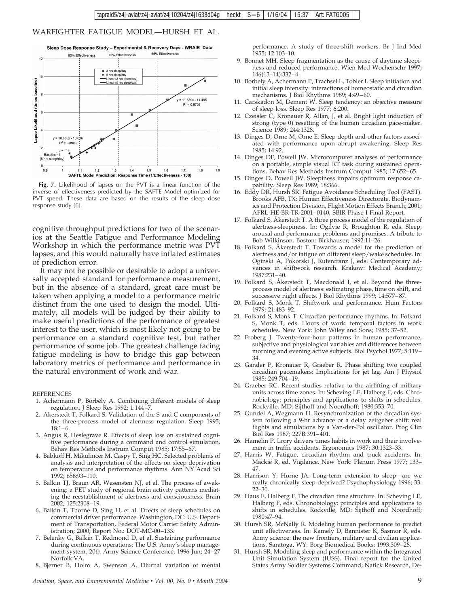

**Fig. 7.** Likelihood of lapses on the PVT is a linear function of the inverse of effectiveness predicted by the SAFTE Model optimized for PVT speed. These data are based on the results of the sleep dose response study (6).

cognitive throughput predictions for two of the scenarios at the Seattle Fatigue and Performance Modeling Workshop in which the performance metric was PVT lapses, and this would naturally have inflated estimates of prediction error.

It may not be possible or desirable to adopt a universally accepted standard for performance measurement, but in the absence of a standard, great care must be taken when applying a model to a performance metric distinct from the one used to design the model. Ultimately, all models will be judged by their ability to make useful predictions of the performance of greatest interest to the user, which is most likely not going to be performance on a standard cognitive test, but rather performance of some job. The greatest challenge facing fatigue modeling is how to bridge this gap between laboratory metrics of performance and performance in the natural environment of work and war.

REFERENCES

- 1. Achermann P, Borbély A. Combining different models of sleep regulation. J Sleep Res 1992; 1:144–7.
- 2. Åkerstedt T, Folkard S. Validation of the S and C components of the three-process model of alertness regulation. Sleep 1995; 18:1–6.
- 3. Angus R, Heslegrave R. Effects of sleep loss on sustained cognitive performance during a command and control simulation. Behav Res Methods Instrum Comput 1985; 17:55–67.
- 4. Babkoff H, Mikulincer M, Caspy T, Sing HC. Selected problems of analysis and interpretation of the effects on sleep deprivation on temperature and performance rhythms. Ann NY Acad Sci 1992; 658:93–110.
- 5. Balkin TJ, Braun AR, Wesensten NJ, et al. The process of awakening: a PET study of regional brain activity patterns mediating the reestablishment of alertness and consciousness. Brain 2002; 125:2308–19.
- 6. Balkin T, Thorne D, Sing H, et al. Effects of sleep schedules on commercial driver performance. Washington, DC: U.S. Department of Transportation, Federal Motor Carrier Safety Administration; 2000; Report No.: DOT-MC-00–133.
- 7. Belenky G, Balkin T, Redmond D, et al. Sustaining performance during continuous operations: The U.S. Army's sleep management system. 20th Army Science Conference, 1996 Jun; 24–27 Norfolk:VA.
- 8. Bjerner B, Holm A, Swenson A. Diurnal variation of mental

performance. A study of three-shift workers. Br J Ind Med 1955; 12:103–10.

- 9. Bonnet MH. Sleep fragmentation as the cause of daytime sleepiness and reduced performance. Wien Med Wochenschr 1997; 146(13–14):332–4.
- 10. Borbely A, Achermann P, Trachsel L, Tobler I. Sleep initiation and initial sleep intensity: interactions of homeostatic and circadian mechanisms. J Biol Rhythms 1989; 4:49–60.
- 11. Carskadon M, Dement W. Sleep tendency: an objective measure of sleep loss. Sleep Res 1977; 6:200.
- 12. Czeisler C, Kronauer R, Allan, J, et al. Bright light induction of strong (type 0) resetting of the human circadian pace-maker. Science 1989; 244:1328.
- 13. Dinges D, Orne M, Orne E. Sleep depth and other factors associated with performance upon abrupt awakening. Sleep Res 1985; 14:92.
- 14. Dinges DF, Powell JW. Microcomputer analyses of performance on a portable, simple visual RT task during sustained operations. Behav Res Methods Instrum Comput 1985; 17:652–65.
- 15. Dinges D, Powell JW. Sleepiness impairs optimum response capability. Sleep Res 1989; 18:366.
- 16. Eddy DR, Hursh SR. Fatigue Avoidance Scheduling Tool (FAST). Brooks AFB, TX: Human Effectiveness Directorate, Biodynamics and Protection Division, Flight Motion Effects Branch; 2001; AFRL-HE-BR-TR-2001–0140, SBIR Phase I Final Report.
- 17. Folkard S, Åkerstedt T. A three process model of the regulation of alertness-sleepiness. In: Ogilvie R, Broughton R, eds. Sleep, arousal and performance problems and promises. A tribute to Bob Wilkinson. Boston: Birkhauser; 1992:11–26.
- 18. Folkard S, Åkerstedt T. Towards a model for the prediction of alertness and/or fatigue on different sleep/wake schedules. In: Oginski A, Pokorski J, Rutenfranz J, eds: Contemporary advances in shiftwork research. Krakow: Medical Academy; 1987:231–40.
- 19. Folkard S, Åkerstedt T, Macdonald I, et al. Beyond the threeprocess model of alertness: estimating phase, time on shift, and successive night effects. J Biol Rhythms 1999; 14:577–87.
- 20. Folkard S, Monk T. Shiftwork and performance. Hum Factors 1979; 21:483–92.
- 21. Folkard S, Monk T. Circadian performance rhythms. In: Folkard S, Monk T, eds. Hours of work: temporal factors in work schedules. New York: John Wiley and Sons; 1985; 37–52.
- 22. Froberg J. Twenty-four-hour patterns in human performance, subjective and physiological variables and differences between morning and evening active subjects. Biol Psychol 1977; 5:119– 34.
- 23. Gander P, Kronauer R, Graeber R. Phase shifting two coupled circadian pacemakers: Implications for jet lag. Am J Physiol 1985; 249:704–19.
- 24. Graeber RC. Recent studies relative to the airlifting of military units across time zones. In: Scheving LE, Halberg F, eds. Chronobiology: principles and applications to shifts in schedules. Rockville, MD: Sijthoff and Noordhoff; 1980:353–70.
- 25. Gundel A, Wegmann H. Resynchronization of the circadian system following a 9-hr advance or a delay zeitgeber shift: real flights and simulations by a Van-der-Pol oscillator. Prog Clin Biol Res 1987; 227B:391–401.
- 26. Hamelin P. Lorry drivers times habits in work and their involvement in traffic accidents. Ergonomics 1987; 30:1323–33.
- 27. Harris W. Fatigue, circadian rhythm and truck accidents. In: Mackie R, ed. Vigilance. New York: Plenum Press 1977; 133– 47.
- 28. Harrison Y, Horne JA. Long-term extension to sleep—are we really chronically sleep deprived? Psychophysiology 1996; 33: 22–30.
- 29. Haus E, Halberg F. The circadian time structure. In: Scheving LE, Halberg F, eds. Chronobiology: principles and applications to shifts in schedules. Rockville, MD: Sijthoff and Noordhoff; 1980:47–94.
- 30. Hursh SR, McNally R. Modeling human performance to predict unit effectiveness. In: Kamely D, Bannister K, Sasmor R, eds. Army science: the new frontiers, military and civilian applications. Saratoga, WY: Borg Biomedical Books; 1993:309–28.
- 31. Hursh SR. Modeling sleep and performance within the Integrated Unit Simulation System (IUSS). Final report for the United States Army Soldier Systems Command; Natick Research, De-